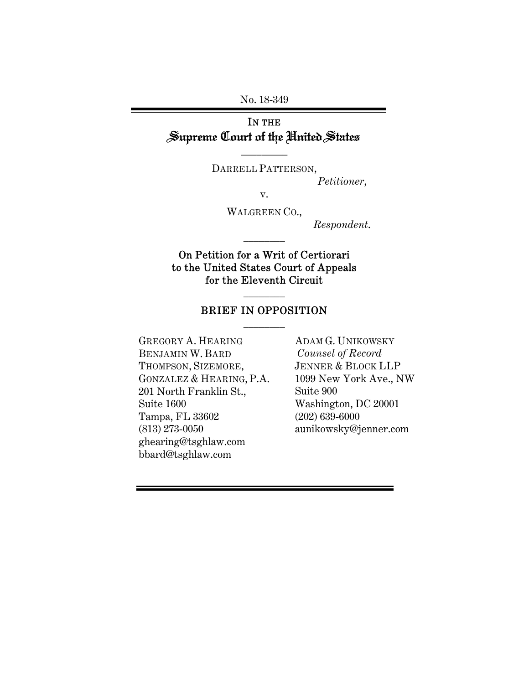No. 18-349

# IN THE Supreme Court of the United States

DARRELL PATTERSON,

\_\_\_\_\_\_\_\_\_

*Petitioner*,

v.

WALGREEN CO.,

\_\_\_\_\_\_\_\_

*Respondent*.

### On Petition for a Writ of Certiorari to the United States Court of Appeals for the Eleventh Circuit

### BRIEF IN OPPOSITION \_\_\_\_\_\_\_\_

\_\_\_\_\_\_\_\_

GREGORY A. HEARING BENJAMIN W. BARD THOMPSON, SIZEMORE, GONZALEZ & HEARING, P.A. 201 North Franklin St., Suite 1600 Tampa, FL 33602 (813) 273-0050 ghearing@tsghlaw.com bbard@tsghlaw.com

ADAM G. UNIKOWSKY *Counsel of Record*  JENNER & BLOCK LLP 1099 New York Ave., NW Suite 900 Washington, DC 20001 (202) 639-6000 aunikowsky@jenner.com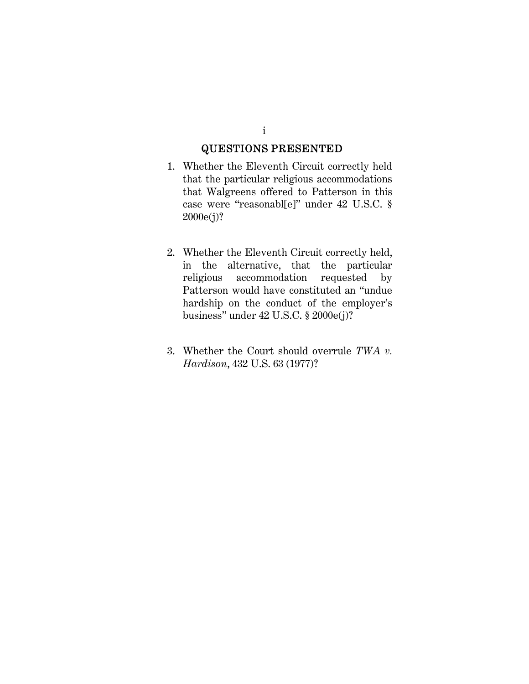### QUESTIONS PRESENTED

- 1. Whether the Eleventh Circuit correctly held that the particular religious accommodations that Walgreens offered to Patterson in this case were "reasonabl[e]" under 42 U.S.C. § 2000e(j)?
- 2. Whether the Eleventh Circuit correctly held, in the alternative, that the particular religious accommodation requested by Patterson would have constituted an "undue hardship on the conduct of the employer's business" under 42 U.S.C. § 2000e(j)?
- 3. Whether the Court should overrule *TWA v. Hardison*, 432 U.S. 63 (1977)?

i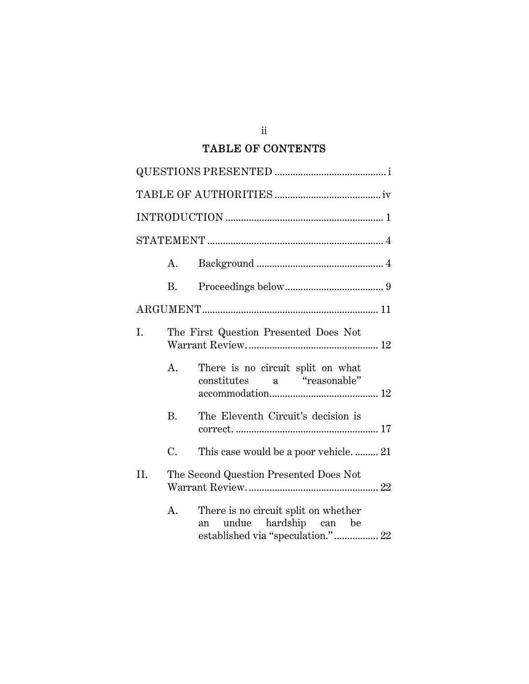# TABLE OF CONTENTS

|     | A. |                                                                                                          |  |  |
|-----|----|----------------------------------------------------------------------------------------------------------|--|--|
|     | Β. |                                                                                                          |  |  |
|     |    |                                                                                                          |  |  |
| I.  |    | The First Question Presented Does Not                                                                    |  |  |
|     | A. | There is no circuit split on what<br>constitutes a "reasonable"                                          |  |  |
|     | B. | The Eleventh Circuit's decision is                                                                       |  |  |
|     | C. | This case would be a poor vehicle 21                                                                     |  |  |
| II. |    | The Second Question Presented Does Not                                                                   |  |  |
|     | A. | There is no circuit split on whether<br>undue hardship can be<br>an<br>established via "speculation." 22 |  |  |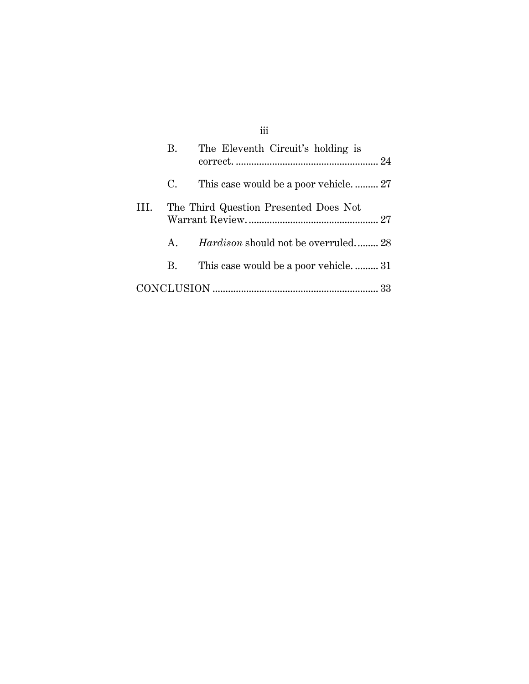|      | В. | The Eleventh Circuit's holding is          |  |
|------|----|--------------------------------------------|--|
|      | C. |                                            |  |
| III. |    | The Third Question Presented Does Not      |  |
|      | A. | <i>Hardison</i> should not be overruled 28 |  |
|      | B. | This case would be a poor vehicle31        |  |
|      |    |                                            |  |

# iii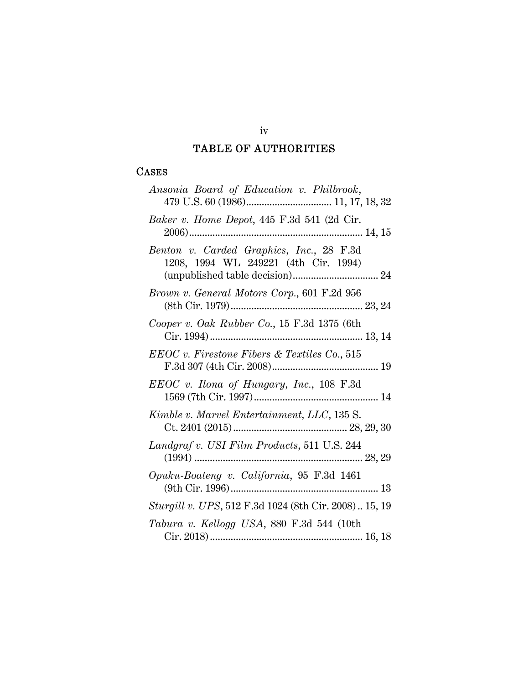# TABLE OF AUTHORITIES

### CASES

| Ansonia Board of Education v. Philbrook,                                         |
|----------------------------------------------------------------------------------|
| Baker v. Home Depot, 445 F.3d 541 (2d Cir.                                       |
| Benton v. Carded Graphics, Inc., 28 F.3d<br>1208, 1994 WL 249221 (4th Cir. 1994) |
| Brown v. General Motors Corp., 601 F.2d 956                                      |
| Cooper v. Oak Rubber Co., 15 F.3d 1375 (6th                                      |
| $EEOC v.$ Firestone Fibers & Textiles $Co.$ , 515                                |
| EEOC v. Ilona of Hungary, Inc., 108 F.3d                                         |
| Kimble v. Marvel Entertainment, LLC, 135 S.                                      |
| Landgraf v. USI Film Products, 511 U.S. 244                                      |
| Opuku-Boateng v. California, 95 F.3d 1461                                        |
| Sturgill v. UPS, 512 F.3d 1024 (8th Cir. 2008) 15, 19                            |
| Tabura v. Kellogg USA, 880 F.3d 544 (10th                                        |

### iv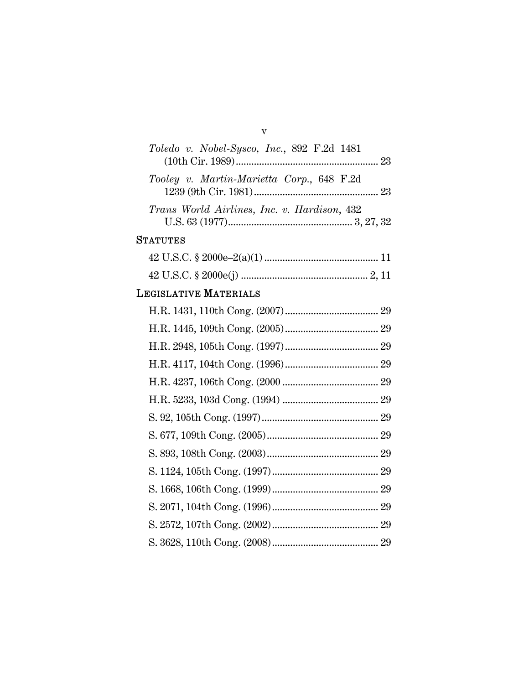| Toledo v. Nobel-Sysco, Inc., 892 F.2d 1481  |  |
|---------------------------------------------|--|
| Tooley v. Martin-Marietta Corp., 648 F.2d   |  |
| Trans World Airlines, Inc. v. Hardison, 432 |  |

v

# **STATUTES**

# LEGISLATIVE MATERIALS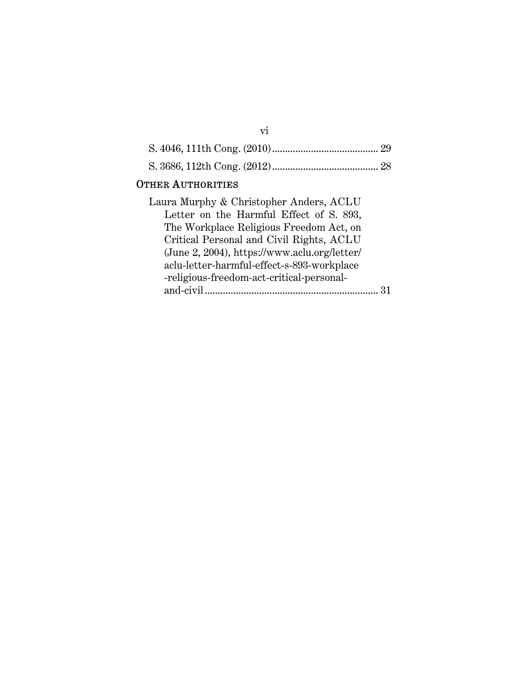| <b>OTHER AUTHORITIES</b>                |  |
|-----------------------------------------|--|
| Laura Murphy & Christopher Anders, ACLU |  |

vi

| aura Murphy & Christopher Anders, ACLU       |  |
|----------------------------------------------|--|
| Letter on the Harmful Effect of S. 893,      |  |
| The Workplace Religious Freedom Act, on      |  |
| Critical Personal and Civil Rights, ACLU     |  |
| (June 2, 2004), https://www.aclu.org/letter/ |  |
| aclu-letter-harmful-effect-s-893-workplace   |  |
| -religious-freedom-act-critical-personal-    |  |
| and-civil                                    |  |
|                                              |  |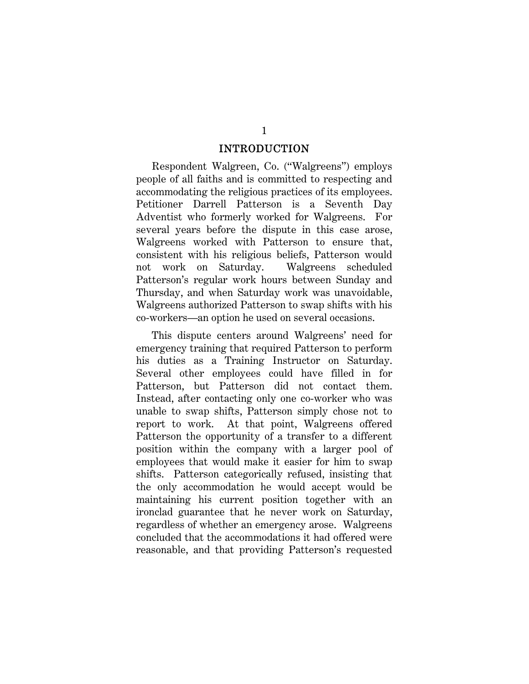#### INTRODUCTION

Respondent Walgreen, Co. ("Walgreens") employs people of all faiths and is committed to respecting and accommodating the religious practices of its employees. Petitioner Darrell Patterson is a Seventh Day Adventist who formerly worked for Walgreens. For several years before the dispute in this case arose, Walgreens worked with Patterson to ensure that, consistent with his religious beliefs, Patterson would not work on Saturday. Walgreens scheduled Patterson's regular work hours between Sunday and Thursday, and when Saturday work was unavoidable, Walgreens authorized Patterson to swap shifts with his co-workers—an option he used on several occasions.

This dispute centers around Walgreens' need for emergency training that required Patterson to perform his duties as a Training Instructor on Saturday. Several other employees could have filled in for Patterson, but Patterson did not contact them. Instead, after contacting only one co-worker who was unable to swap shifts, Patterson simply chose not to report to work. At that point, Walgreens offered Patterson the opportunity of a transfer to a different position within the company with a larger pool of employees that would make it easier for him to swap shifts. Patterson categorically refused, insisting that the only accommodation he would accept would be maintaining his current position together with an ironclad guarantee that he never work on Saturday, regardless of whether an emergency arose. Walgreens concluded that the accommodations it had offered were reasonable, and that providing Patterson's requested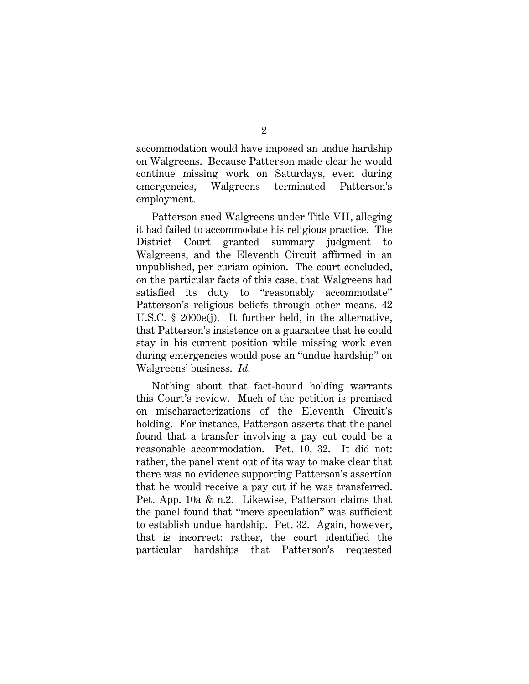accommodation would have imposed an undue hardship on Walgreens. Because Patterson made clear he would continue missing work on Saturdays, even during emergencies, Walgreens terminated Patterson's employment.

Patterson sued Walgreens under Title VII, alleging it had failed to accommodate his religious practice. The District Court granted summary judgment to Walgreens, and the Eleventh Circuit affirmed in an unpublished, per curiam opinion. The court concluded, on the particular facts of this case, that Walgreens had satisfied its duty to "reasonably accommodate" Patterson's religious beliefs through other means. 42 U.S.C. § 2000e(j). It further held, in the alternative, that Patterson's insistence on a guarantee that he could stay in his current position while missing work even during emergencies would pose an "undue hardship" on Walgreens' business. *Id.*

Nothing about that fact-bound holding warrants this Court's review. Much of the petition is premised on mischaracterizations of the Eleventh Circuit's holding. For instance, Patterson asserts that the panel found that a transfer involving a pay cut could be a reasonable accommodation. Pet. 10, 32. It did not: rather, the panel went out of its way to make clear that there was no evidence supporting Patterson's assertion that he would receive a pay cut if he was transferred. Pet. App. 10a & n.2. Likewise, Patterson claims that the panel found that "mere speculation" was sufficient to establish undue hardship. Pet. 32. Again, however, that is incorrect: rather, the court identified the particular hardships that Patterson's requested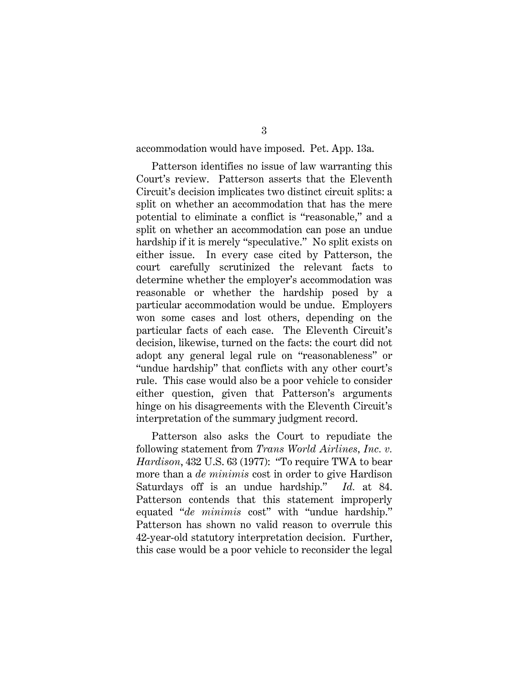accommodation would have imposed. Pet. App. 13a.

Patterson identifies no issue of law warranting this Court's review. Patterson asserts that the Eleventh Circuit's decision implicates two distinct circuit splits: a split on whether an accommodation that has the mere potential to eliminate a conflict is "reasonable," and a split on whether an accommodation can pose an undue hardship if it is merely "speculative." No split exists on either issue. In every case cited by Patterson, the court carefully scrutinized the relevant facts to determine whether the employer's accommodation was reasonable or whether the hardship posed by a particular accommodation would be undue. Employers won some cases and lost others, depending on the particular facts of each case. The Eleventh Circuit's decision, likewise, turned on the facts: the court did not adopt any general legal rule on "reasonableness" or "undue hardship" that conflicts with any other court's rule. This case would also be a poor vehicle to consider either question, given that Patterson's arguments hinge on his disagreements with the Eleventh Circuit's interpretation of the summary judgment record.

Patterson also asks the Court to repudiate the following statement from *Trans World Airlines, Inc. v. Hardison*, 432 U.S. 63 (1977): "To require TWA to bear more than a *de minimis* cost in order to give Hardison Saturdays off is an undue hardship." *Id.* at 84. Patterson contends that this statement improperly equated "*de minimis* cost" with "undue hardship." Patterson has shown no valid reason to overrule this 42-year-old statutory interpretation decision. Further, this case would be a poor vehicle to reconsider the legal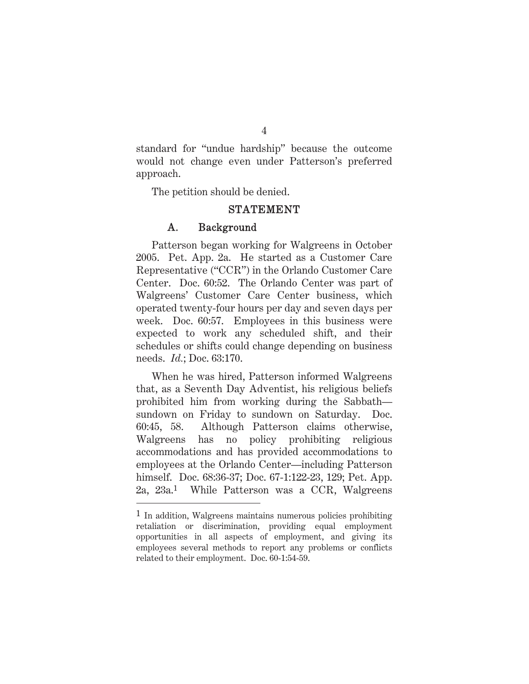standard for "undue hardship" because the outcome would not change even under Patterson's preferred approach.

The petition should be denied.

### STATEMENT

#### A. Background

Patterson began working for Walgreens in October 2005. Pet. App. 2a. He started as a Customer Care Representative ("CCR") in the Orlando Customer Care Center. Doc. 60:52. The Orlando Center was part of Walgreens' Customer Care Center business, which operated twenty-four hours per day and seven days per week. Doc. 60:57. Employees in this business were expected to work any scheduled shift, and their schedules or shifts could change depending on business needs. *Id.*; Doc. 63:170.

When he was hired, Patterson informed Walgreens that, as a Seventh Day Adventist, his religious beliefs prohibited him from working during the Sabbath sundown on Friday to sundown on Saturday. Doc. 60:45, 58. Although Patterson claims otherwise, Walgreens has no policy prohibiting religious accommodations and has provided accommodations to employees at the Orlando Center—including Patterson himself. Doc. 68:36-37; Doc. 67-1:122-23, 129; Pet. App. 2a, 23a.1 While Patterson was a CCR, Walgreens

4

<sup>1</sup> In addition, Walgreens maintains numerous policies prohibiting retaliation or discrimination, providing equal employment opportunities in all aspects of employment, and giving its employees several methods to report any problems or conflicts related to their employment. Doc. 60-1:54-59.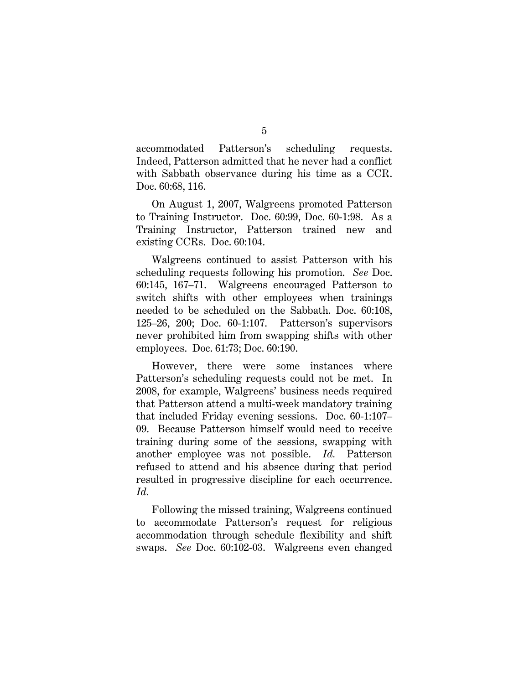accommodated Patterson's scheduling requests. Indeed, Patterson admitted that he never had a conflict with Sabbath observance during his time as a CCR. Doc. 60:68, 116.

On August 1, 2007, Walgreens promoted Patterson to Training Instructor. Doc. 60:99, Doc. 60-1:98. As a Training Instructor, Patterson trained new and existing CCRs. Doc. 60:104.

Walgreens continued to assist Patterson with his scheduling requests following his promotion. *See* Doc. 60:145, 167–71. Walgreens encouraged Patterson to switch shifts with other employees when trainings needed to be scheduled on the Sabbath. Doc. 60:108, 125–26, 200; Doc. 60-1:107. Patterson's supervisors never prohibited him from swapping shifts with other employees. Doc. 61:73; Doc. 60:190.

However, there were some instances where Patterson's scheduling requests could not be met. In 2008, for example, Walgreens' business needs required that Patterson attend a multi-week mandatory training that included Friday evening sessions. Doc. 60-1:107– 09. Because Patterson himself would need to receive training during some of the sessions, swapping with another employee was not possible. *Id.* Patterson refused to attend and his absence during that period resulted in progressive discipline for each occurrence. *Id.* 

Following the missed training, Walgreens continued to accommodate Patterson's request for religious accommodation through schedule flexibility and shift swaps. *See* Doc. 60:102-03. Walgreens even changed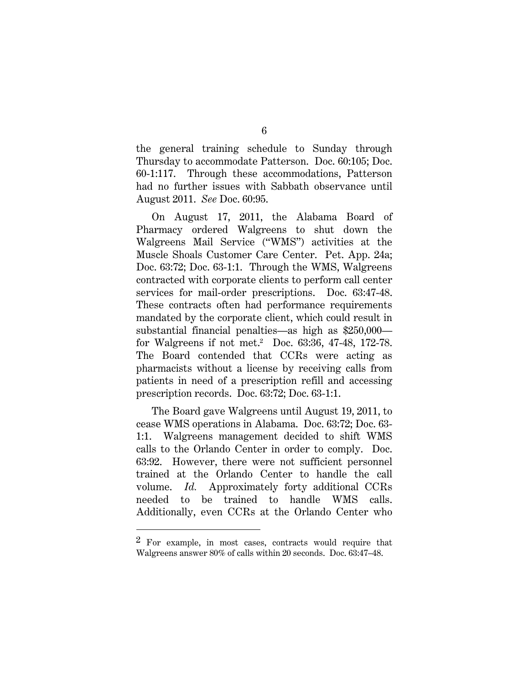the general training schedule to Sunday through Thursday to accommodate Patterson. Doc. 60:105; Doc. 60-1:117. Through these accommodations, Patterson had no further issues with Sabbath observance until August 2011. *See* Doc. 60:95.

On August 17, 2011, the Alabama Board of Pharmacy ordered Walgreens to shut down the Walgreens Mail Service ("WMS") activities at the Muscle Shoals Customer Care Center. Pet. App. 24a; Doc. 63:72; Doc. 63-1:1. Through the WMS, Walgreens contracted with corporate clients to perform call center services for mail-order prescriptions. Doc. 63:47-48. These contracts often had performance requirements mandated by the corporate client, which could result in substantial financial penalties—as high as \$250,000 for Walgreens if not met.2 Doc. 63:36, 47-48, 172-78. The Board contended that CCRs were acting as pharmacists without a license by receiving calls from patients in need of a prescription refill and accessing prescription records. Doc. 63:72; Doc. 63-1:1.

The Board gave Walgreens until August 19, 2011, to cease WMS operations in Alabama. Doc. 63:72; Doc. 63- 1:1. Walgreens management decided to shift WMS calls to the Orlando Center in order to comply. Doc. 63:92. However, there were not sufficient personnel trained at the Orlando Center to handle the call volume. *Id.* Approximately forty additional CCRs needed to be trained to handle WMS calls. Additionally, even CCRs at the Orlando Center who

 $\overline{a}$ 

<sup>2</sup> For example, in most cases, contracts would require that Walgreens answer 80% of calls within 20 seconds. Doc. 63:47–48.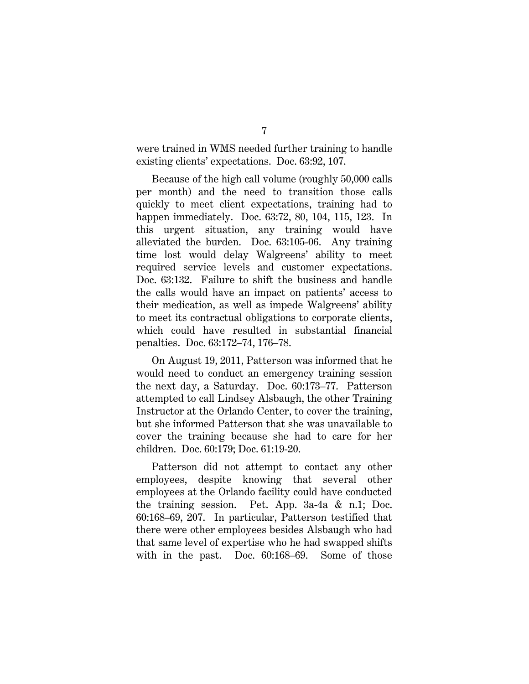were trained in WMS needed further training to handle existing clients' expectations. Doc. 63:92, 107.

Because of the high call volume (roughly 50,000 calls per month) and the need to transition those calls quickly to meet client expectations, training had to happen immediately. Doc. 63:72, 80, 104, 115, 123. In this urgent situation, any training would have alleviated the burden. Doc. 63:105-06. Any training time lost would delay Walgreens' ability to meet required service levels and customer expectations. Doc. 63:132. Failure to shift the business and handle the calls would have an impact on patients' access to their medication, as well as impede Walgreens' ability to meet its contractual obligations to corporate clients, which could have resulted in substantial financial penalties. Doc. 63:172–74, 176–78.

On August 19, 2011, Patterson was informed that he would need to conduct an emergency training session the next day, a Saturday. Doc. 60:173–77. Patterson attempted to call Lindsey Alsbaugh, the other Training Instructor at the Orlando Center, to cover the training, but she informed Patterson that she was unavailable to cover the training because she had to care for her children. Doc. 60:179; Doc. 61:19-20.

Patterson did not attempt to contact any other employees, despite knowing that several other employees at the Orlando facility could have conducted the training session. Pet. App. 3a-4a & n.1; Doc. 60:168–69, 207. In particular, Patterson testified that there were other employees besides Alsbaugh who had that same level of expertise who he had swapped shifts with in the past. Doc. 60:168–69. Some of those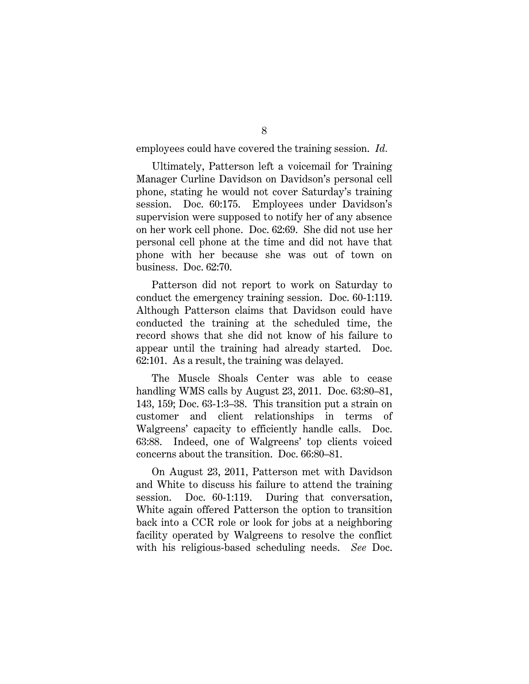employees could have covered the training session. *Id.*

Ultimately, Patterson left a voicemail for Training Manager Curline Davidson on Davidson's personal cell phone, stating he would not cover Saturday's training session. Doc. 60:175. Employees under Davidson's supervision were supposed to notify her of any absence on her work cell phone. Doc. 62:69. She did not use her personal cell phone at the time and did not have that phone with her because she was out of town on business. Doc. 62:70.

Patterson did not report to work on Saturday to conduct the emergency training session. Doc. 60-1:119. Although Patterson claims that Davidson could have conducted the training at the scheduled time, the record shows that she did not know of his failure to appear until the training had already started. Doc. 62:101. As a result, the training was delayed.

The Muscle Shoals Center was able to cease handling WMS calls by August 23, 2011. Doc. 63:80–81, 143, 159; Doc. 63-1:3–38. This transition put a strain on customer and client relationships in terms of Walgreens' capacity to efficiently handle calls. Doc. 63:88. Indeed, one of Walgreens' top clients voiced concerns about the transition. Doc. 66:80–81.

On August 23, 2011, Patterson met with Davidson and White to discuss his failure to attend the training session. Doc. 60-1:119. During that conversation, White again offered Patterson the option to transition back into a CCR role or look for jobs at a neighboring facility operated by Walgreens to resolve the conflict with his religious-based scheduling needs. *See* Doc.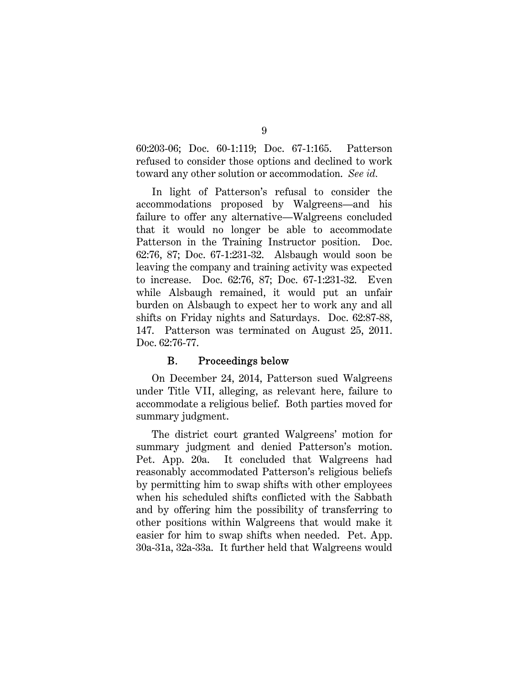60:203-06; Doc. 60-1:119; Doc. 67-1:165. Patterson refused to consider those options and declined to work toward any other solution or accommodation. *See id.*

In light of Patterson's refusal to consider the accommodations proposed by Walgreens—and his failure to offer any alternative—Walgreens concluded that it would no longer be able to accommodate Patterson in the Training Instructor position. Doc. 62:76, 87; Doc. 67-1:231-32. Alsbaugh would soon be leaving the company and training activity was expected to increase. Doc. 62:76, 87; Doc. 67-1:231-32. Even while Alsbaugh remained, it would put an unfair burden on Alsbaugh to expect her to work any and all shifts on Friday nights and Saturdays. Doc. 62:87-88, 147. Patterson was terminated on August 25, 2011. Doc. 62:76-77.

### B. Proceedings below

On December 24, 2014, Patterson sued Walgreens under Title VII, alleging, as relevant here, failure to accommodate a religious belief. Both parties moved for summary judgment.

The district court granted Walgreens' motion for summary judgment and denied Patterson's motion. Pet. App. 20a. It concluded that Walgreens had reasonably accommodated Patterson's religious beliefs by permitting him to swap shifts with other employees when his scheduled shifts conflicted with the Sabbath and by offering him the possibility of transferring to other positions within Walgreens that would make it easier for him to swap shifts when needed. Pet. App. 30a-31a, 32a-33a. It further held that Walgreens would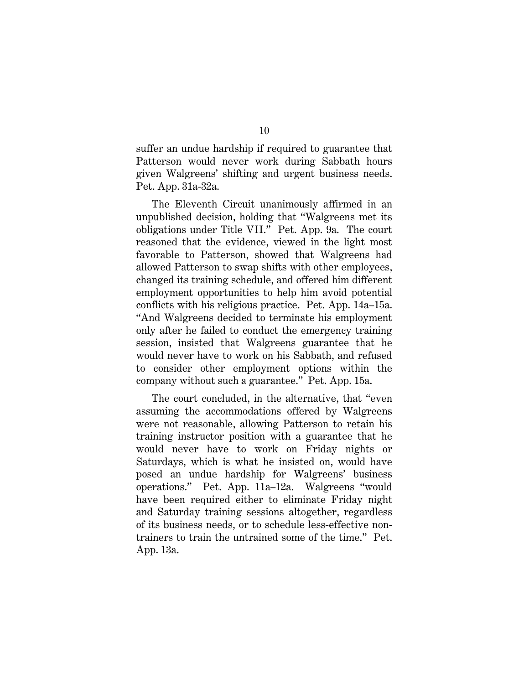suffer an undue hardship if required to guarantee that Patterson would never work during Sabbath hours given Walgreens' shifting and urgent business needs. Pet. App. 31a-32a.

The Eleventh Circuit unanimously affirmed in an unpublished decision, holding that "Walgreens met its obligations under Title VII." Pet. App. 9a. The court reasoned that the evidence, viewed in the light most favorable to Patterson, showed that Walgreens had allowed Patterson to swap shifts with other employees, changed its training schedule, and offered him different employment opportunities to help him avoid potential conflicts with his religious practice. Pet. App. 14a–15a. "And Walgreens decided to terminate his employment only after he failed to conduct the emergency training session, insisted that Walgreens guarantee that he would never have to work on his Sabbath, and refused to consider other employment options within the company without such a guarantee." Pet. App. 15a.

The court concluded, in the alternative, that "even assuming the accommodations offered by Walgreens were not reasonable, allowing Patterson to retain his training instructor position with a guarantee that he would never have to work on Friday nights or Saturdays, which is what he insisted on, would have posed an undue hardship for Walgreens' business operations." Pet. App. 11a–12a. Walgreens "would have been required either to eliminate Friday night and Saturday training sessions altogether, regardless of its business needs, or to schedule less-effective nontrainers to train the untrained some of the time." Pet. App. 13a.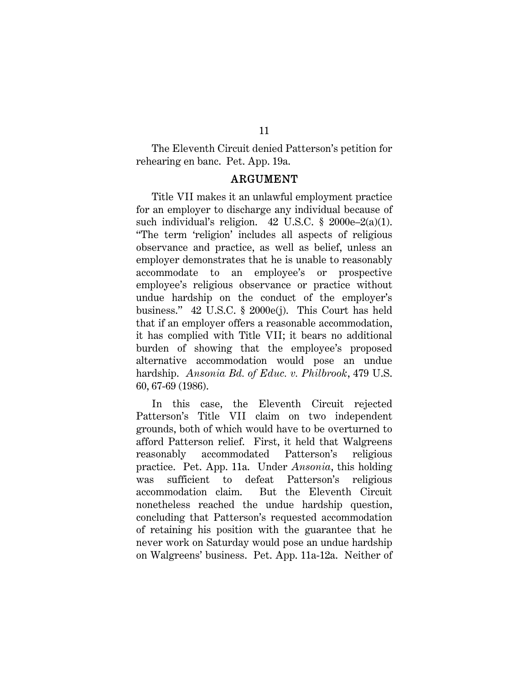The Eleventh Circuit denied Patterson's petition for rehearing en banc. Pet. App. 19a.

#### ARGUMENT

Title VII makes it an unlawful employment practice for an employer to discharge any individual because of such individual's religion. 42 U.S.C. § 2000e–2(a)(1). "The term 'religion' includes all aspects of religious observance and practice, as well as belief, unless an employer demonstrates that he is unable to reasonably accommodate to an employee's or prospective employee's religious observance or practice without undue hardship on the conduct of the employer's business." 42 U.S.C. § 2000e(j). This Court has held that if an employer offers a reasonable accommodation, it has complied with Title VII; it bears no additional burden of showing that the employee's proposed alternative accommodation would pose an undue hardship. *Ansonia Bd. of Educ. v. Philbrook*, 479 U.S. 60, 67-69 (1986).

In this case, the Eleventh Circuit rejected Patterson's Title VII claim on two independent grounds, both of which would have to be overturned to afford Patterson relief. First, it held that Walgreens reasonably accommodated Patterson's religious practice. Pet. App. 11a. Under *Ansonia*, this holding was sufficient to defeat Patterson's religious accommodation claim. But the Eleventh Circuit nonetheless reached the undue hardship question, concluding that Patterson's requested accommodation of retaining his position with the guarantee that he never work on Saturday would pose an undue hardship on Walgreens' business. Pet. App. 11a-12a. Neither of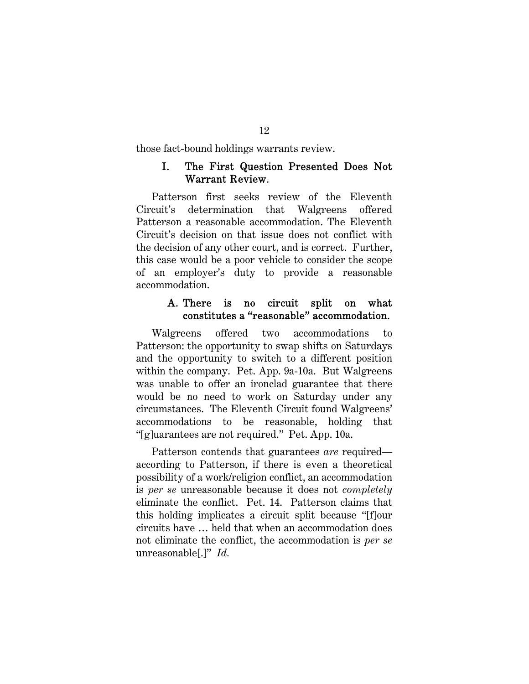those fact-bound holdings warrants review.

### I. The First Question Presented Does Not Warrant Review.

Patterson first seeks review of the Eleventh Circuit's determination that Walgreens offered Patterson a reasonable accommodation. The Eleventh Circuit's decision on that issue does not conflict with the decision of any other court, and is correct. Further, this case would be a poor vehicle to consider the scope of an employer's duty to provide a reasonable accommodation.

### A. There is no circuit split on what constitutes a "reasonable" accommodation.

Walgreens offered two accommodations to Patterson: the opportunity to swap shifts on Saturdays and the opportunity to switch to a different position within the company. Pet. App. 9a-10a. But Walgreens was unable to offer an ironclad guarantee that there would be no need to work on Saturday under any circumstances. The Eleventh Circuit found Walgreens' accommodations to be reasonable, holding that "[g]uarantees are not required." Pet. App. 10a.

Patterson contends that guarantees *are* required according to Patterson, if there is even a theoretical possibility of a work/religion conflict, an accommodation is *per se* unreasonable because it does not *completely*  eliminate the conflict. Pet. 14. Patterson claims that this holding implicates a circuit split because "[f]our circuits have … held that when an accommodation does not eliminate the conflict, the accommodation is *per se* unreasonable[.]" *Id.*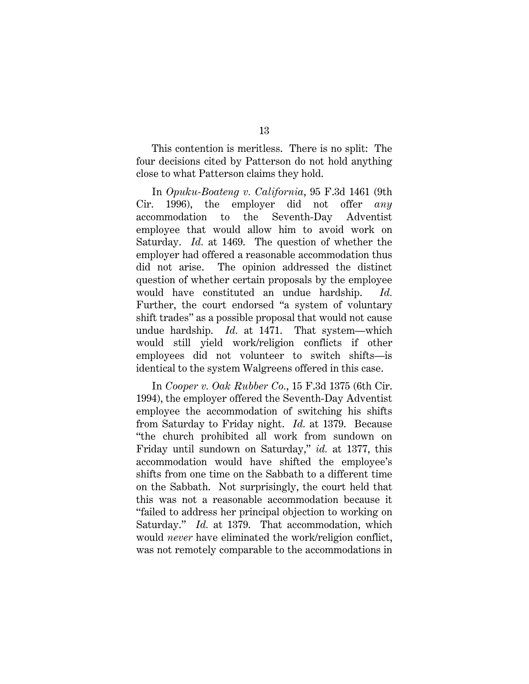This contention is meritless. There is no split: The four decisions cited by Patterson do not hold anything close to what Patterson claims they hold.

In *Opuku-Boateng v. California*, 95 F.3d 1461 (9th Cir. 1996), the employer did not offer *any* accommodation to the Seventh-Day Adventist employee that would allow him to avoid work on Saturday. *Id.* at 1469. The question of whether the employer had offered a reasonable accommodation thus did not arise. The opinion addressed the distinct question of whether certain proposals by the employee would have constituted an undue hardship. *Id.* Further, the court endorsed "a system of voluntary shift trades" as a possible proposal that would not cause undue hardship. *Id.* at 1471. That system—which would still yield work/religion conflicts if other employees did not volunteer to switch shifts—is identical to the system Walgreens offered in this case.

In *Cooper v. Oak Rubber Co.*, 15 F.3d 1375 (6th Cir. 1994), the employer offered the Seventh-Day Adventist employee the accommodation of switching his shifts from Saturday to Friday night. *Id.* at 1379. Because "the church prohibited all work from sundown on Friday until sundown on Saturday," *id.* at 1377, this accommodation would have shifted the employee's shifts from one time on the Sabbath to a different time on the Sabbath. Not surprisingly, the court held that this was not a reasonable accommodation because it "failed to address her principal objection to working on Saturday." *Id.* at 1379. That accommodation, which would *never* have eliminated the work/religion conflict, was not remotely comparable to the accommodations in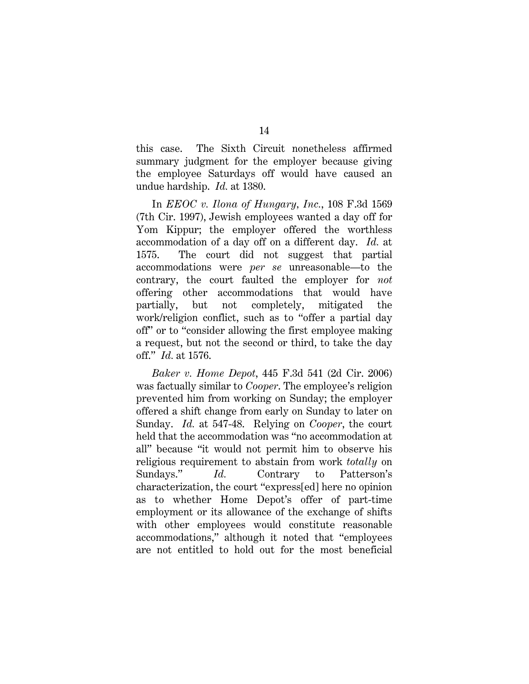this case. The Sixth Circuit nonetheless affirmed summary judgment for the employer because giving the employee Saturdays off would have caused an undue hardship. *Id.* at 1380.

In *EEOC v. Ilona of Hungary, Inc.*, 108 F.3d 1569 (7th Cir. 1997), Jewish employees wanted a day off for Yom Kippur; the employer offered the worthless accommodation of a day off on a different day. *Id.* at 1575. The court did not suggest that partial accommodations were *per se* unreasonable—to the contrary, the court faulted the employer for *not* offering other accommodations that would have partially, but not completely, mitigated the work/religion conflict, such as to "offer a partial day off" or to "consider allowing the first employee making a request, but not the second or third, to take the day off." *Id.* at 1576.

*Baker v. Home Depot*, 445 F.3d 541 (2d Cir. 2006) was factually similar to *Cooper*. The employee's religion prevented him from working on Sunday; the employer offered a shift change from early on Sunday to later on Sunday. *Id.* at 547-48. Relying on *Cooper*, the court held that the accommodation was "no accommodation at all" because "it would not permit him to observe his religious requirement to abstain from work *totally* on Sundays." *Id.* Contrary to Patterson's characterization, the court "express[ed] here no opinion as to whether Home Depot's offer of part-time employment or its allowance of the exchange of shifts with other employees would constitute reasonable accommodations," although it noted that "employees are not entitled to hold out for the most beneficial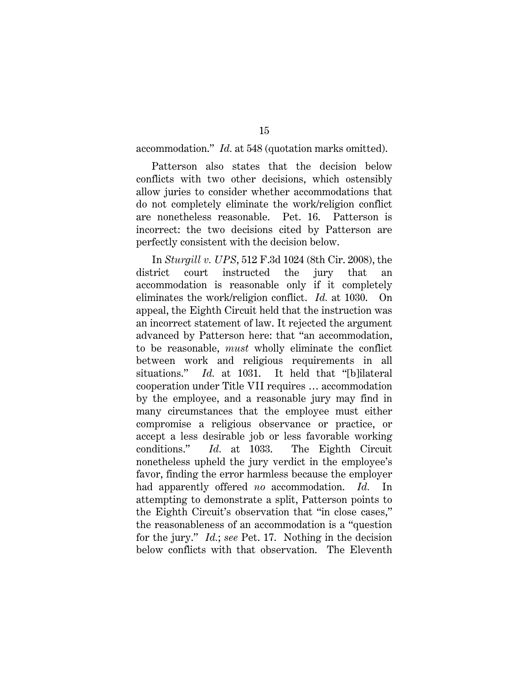accommodation." *Id.* at 548 (quotation marks omitted).

15

Patterson also states that the decision below conflicts with two other decisions, which ostensibly allow juries to consider whether accommodations that do not completely eliminate the work/religion conflict are nonetheless reasonable. Pet. 16. Patterson is incorrect: the two decisions cited by Patterson are perfectly consistent with the decision below.

In *Sturgill v. UPS*, 512 F.3d 1024 (8th Cir. 2008), the district court instructed the jury that an accommodation is reasonable only if it completely eliminates the work/religion conflict. *Id.* at 1030. On appeal, the Eighth Circuit held that the instruction was an incorrect statement of law. It rejected the argument advanced by Patterson here: that "an accommodation, to be reasonable, *must* wholly eliminate the conflict between work and religious requirements in all situations." *Id.* at 1031. It held that "[b]ilateral cooperation under Title VII requires … accommodation by the employee, and a reasonable jury may find in many circumstances that the employee must either compromise a religious observance or practice, or accept a less desirable job or less favorable working conditions." *Id.* at 1033. The Eighth Circuit nonetheless upheld the jury verdict in the employee's favor, finding the error harmless because the employer had apparently offered *no* accommodation. *Id.* In attempting to demonstrate a split, Patterson points to the Eighth Circuit's observation that "in close cases," the reasonableness of an accommodation is a "question for the jury." *Id.*; *see* Pet. 17. Nothing in the decision below conflicts with that observation. The Eleventh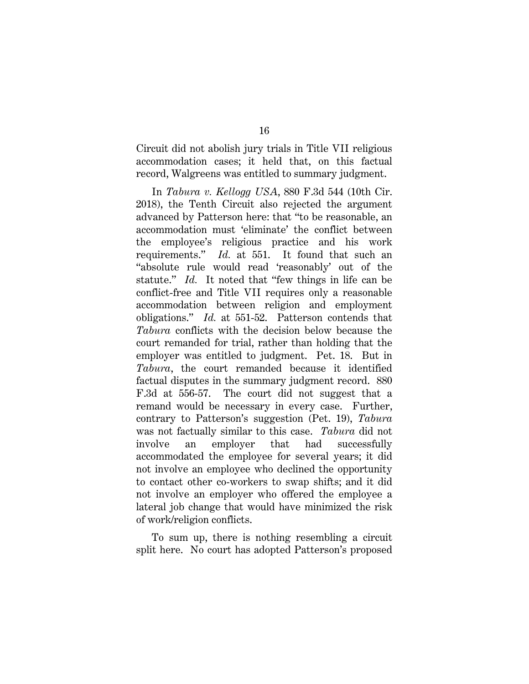Circuit did not abolish jury trials in Title VII religious accommodation cases; it held that, on this factual record, Walgreens was entitled to summary judgment.

In *Tabura v. Kellogg USA*, 880 F.3d 544 (10th Cir. 2018), the Tenth Circuit also rejected the argument advanced by Patterson here: that "to be reasonable, an accommodation must 'eliminate' the conflict between the employee's religious practice and his work requirements." *Id.* at 551. It found that such an "absolute rule would read 'reasonably' out of the statute." *Id.* It noted that "few things in life can be conflict-free and Title VII requires only a reasonable accommodation between religion and employment obligations." *Id.* at 551-52. Patterson contends that *Tabura* conflicts with the decision below because the court remanded for trial, rather than holding that the employer was entitled to judgment. Pet. 18. But in *Tabura*, the court remanded because it identified factual disputes in the summary judgment record. 880 F.3d at 556-57. The court did not suggest that a remand would be necessary in every case. Further, contrary to Patterson's suggestion (Pet. 19), *Tabura* was not factually similar to this case. *Tabura* did not involve an employer that had successfully accommodated the employee for several years; it did not involve an employee who declined the opportunity to contact other co-workers to swap shifts; and it did not involve an employer who offered the employee a lateral job change that would have minimized the risk of work/religion conflicts.

To sum up, there is nothing resembling a circuit split here. No court has adopted Patterson's proposed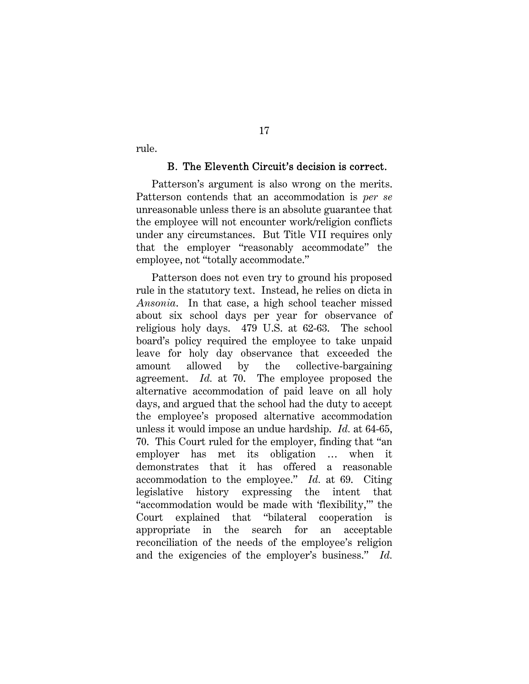rule.

#### B. The Eleventh Circuit's decision is correct.

Patterson's argument is also wrong on the merits. Patterson contends that an accommodation is *per se* unreasonable unless there is an absolute guarantee that the employee will not encounter work/religion conflicts under any circumstances. But Title VII requires only that the employer "reasonably accommodate" the employee, not "totally accommodate."

17

Patterson does not even try to ground his proposed rule in the statutory text. Instead, he relies on dicta in *Ansonia*. In that case, a high school teacher missed about six school days per year for observance of religious holy days. 479 U.S. at 62-63. The school board's policy required the employee to take unpaid leave for holy day observance that exceeded the amount allowed by the collective-bargaining agreement. *Id.* at 70. The employee proposed the alternative accommodation of paid leave on all holy days, and argued that the school had the duty to accept the employee's proposed alternative accommodation unless it would impose an undue hardship. *Id.* at 64-65, 70. This Court ruled for the employer, finding that "an employer has met its obligation … when it demonstrates that it has offered a reasonable accommodation to the employee." *Id.* at 69. Citing legislative history expressing the intent that "accommodation would be made with 'flexibility,'" the Court explained that "bilateral cooperation is appropriate in the search for an acceptable reconciliation of the needs of the employee's religion and the exigencies of the employer's business." *Id.*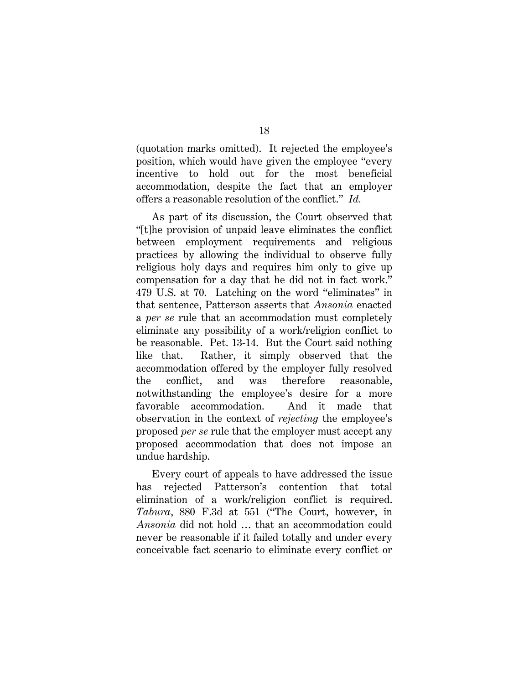(quotation marks omitted). It rejected the employee's position, which would have given the employee "every incentive to hold out for the most beneficial accommodation, despite the fact that an employer offers a reasonable resolution of the conflict." *Id.*

As part of its discussion, the Court observed that "[t]he provision of unpaid leave eliminates the conflict between employment requirements and religious practices by allowing the individual to observe fully religious holy days and requires him only to give up compensation for a day that he did not in fact work." 479 U.S. at 70. Latching on the word "eliminates" in that sentence, Patterson asserts that *Ansonia* enacted a *per se* rule that an accommodation must completely eliminate any possibility of a work/religion conflict to be reasonable. Pet. 13-14. But the Court said nothing like that. Rather, it simply observed that the accommodation offered by the employer fully resolved the conflict, and was therefore reasonable, notwithstanding the employee's desire for a more favorable accommodation. And it made that observation in the context of *rejecting* the employee's proposed *per se* rule that the employer must accept any proposed accommodation that does not impose an undue hardship.

Every court of appeals to have addressed the issue has rejected Patterson's contention that total elimination of a work/religion conflict is required. *Tabura*, 880 F.3d at 551 ("The Court, however, in *Ansonia* did not hold … that an accommodation could never be reasonable if it failed totally and under every conceivable fact scenario to eliminate every conflict or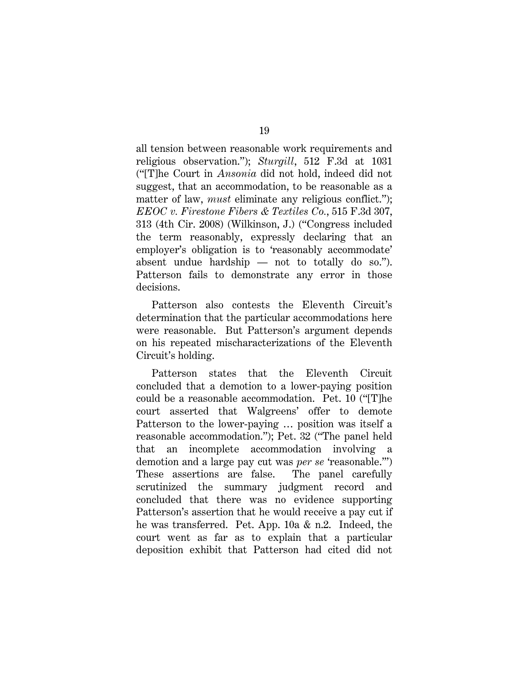all tension between reasonable work requirements and religious observation."); *Sturgill*, 512 F.3d at 1031 ("[T]he Court in *Ansonia* did not hold, indeed did not suggest, that an accommodation, to be reasonable as a matter of law, *must* eliminate any religious conflict."); *EEOC v. Firestone Fibers & Textiles Co.*, 515 F.3d 307, 313 (4th Cir. 2008) (Wilkinson, J.) ("Congress included the term reasonably, expressly declaring that an employer's obligation is to 'reasonably accommodate' absent undue hardship — not to totally do so."). Patterson fails to demonstrate any error in those decisions.

Patterson also contests the Eleventh Circuit's determination that the particular accommodations here were reasonable. But Patterson's argument depends on his repeated mischaracterizations of the Eleventh Circuit's holding.

Patterson states that the Eleventh Circuit concluded that a demotion to a lower-paying position could be a reasonable accommodation. Pet. 10 ("[T]he court asserted that Walgreens' offer to demote Patterson to the lower-paying … position was itself a reasonable accommodation."); Pet. 32 ("The panel held that an incomplete accommodation involving a demotion and a large pay cut was *per se* 'reasonable.'") These assertions are false. The panel carefully scrutinized the summary judgment record and concluded that there was no evidence supporting Patterson's assertion that he would receive a pay cut if he was transferred. Pet. App. 10a & n.2. Indeed, the court went as far as to explain that a particular deposition exhibit that Patterson had cited did not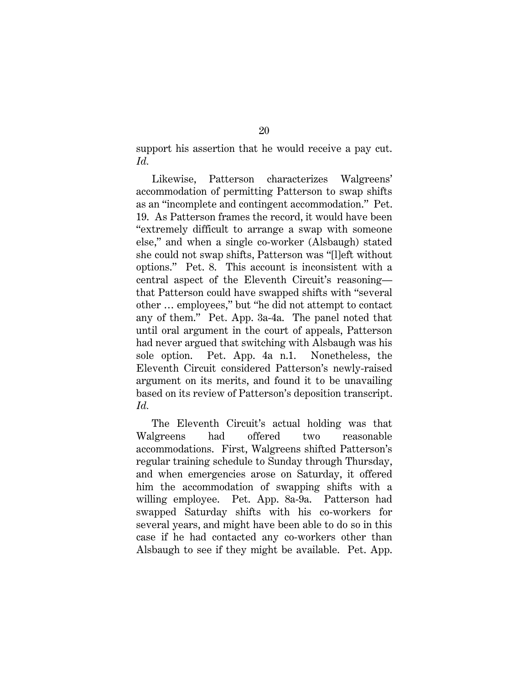support his assertion that he would receive a pay cut. *Id.*

Likewise, Patterson characterizes Walgreens' accommodation of permitting Patterson to swap shifts as an "incomplete and contingent accommodation." Pet. 19. As Patterson frames the record, it would have been "extremely difficult to arrange a swap with someone else," and when a single co-worker (Alsbaugh) stated she could not swap shifts, Patterson was "[l]eft without options." Pet. 8. This account is inconsistent with a central aspect of the Eleventh Circuit's reasoning that Patterson could have swapped shifts with "several other … employees," but "he did not attempt to contact any of them." Pet. App. 3a-4a. The panel noted that until oral argument in the court of appeals, Patterson had never argued that switching with Alsbaugh was his sole option. Pet. App. 4a n.1. Nonetheless, the Eleventh Circuit considered Patterson's newly-raised argument on its merits, and found it to be unavailing based on its review of Patterson's deposition transcript. *Id.*

The Eleventh Circuit's actual holding was that Walgreens had offered two reasonable accommodations. First, Walgreens shifted Patterson's regular training schedule to Sunday through Thursday, and when emergencies arose on Saturday, it offered him the accommodation of swapping shifts with a willing employee. Pet. App. 8a-9a. Patterson had swapped Saturday shifts with his co-workers for several years, and might have been able to do so in this case if he had contacted any co-workers other than Alsbaugh to see if they might be available. Pet. App.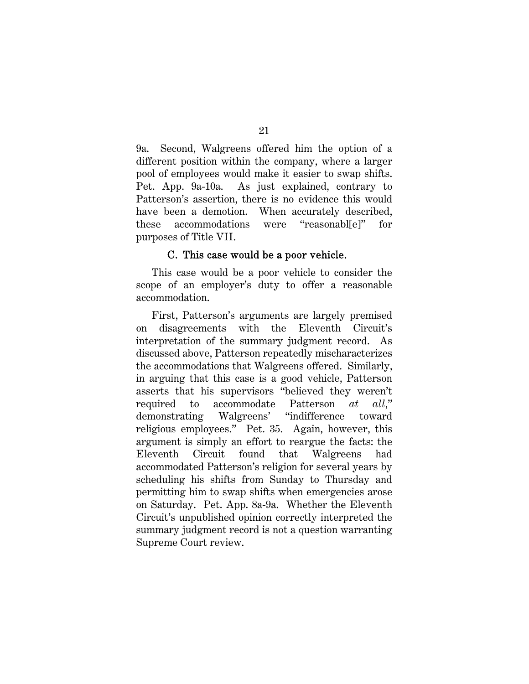9a. Second, Walgreens offered him the option of a different position within the company, where a larger pool of employees would make it easier to swap shifts. Pet. App. 9a-10a. As just explained, contrary to Patterson's assertion, there is no evidence this would have been a demotion. When accurately described, these accommodations were "reasonabl[e]" for purposes of Title VII.

#### C. This case would be a poor vehicle.

This case would be a poor vehicle to consider the scope of an employer's duty to offer a reasonable accommodation.

First, Patterson's arguments are largely premised on disagreements with the Eleventh Circuit's interpretation of the summary judgment record. As discussed above, Patterson repeatedly mischaracterizes the accommodations that Walgreens offered. Similarly, in arguing that this case is a good vehicle, Patterson asserts that his supervisors "believed they weren't required to accommodate Patterson *at all*," demonstrating Walgreens' "indifference toward religious employees." Pet. 35.Again, however, this argument is simply an effort to reargue the facts: the Eleventh Circuit found that Walgreens had accommodated Patterson's religion for several years by scheduling his shifts from Sunday to Thursday and permitting him to swap shifts when emergencies arose on Saturday. Pet. App. 8a-9a. Whether the Eleventh Circuit's unpublished opinion correctly interpreted the summary judgment record is not a question warranting Supreme Court review.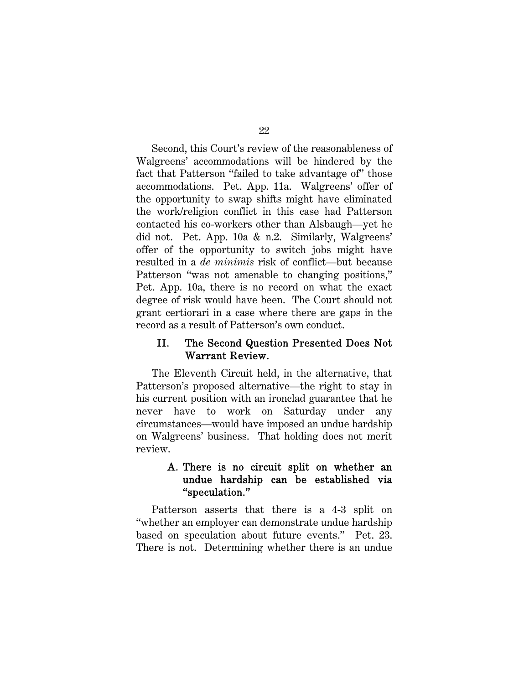Second, this Court's review of the reasonableness of Walgreens' accommodations will be hindered by the fact that Patterson "failed to take advantage of" those accommodations. Pet. App. 11a. Walgreens' offer of the opportunity to swap shifts might have eliminated the work/religion conflict in this case had Patterson contacted his co-workers other than Alsbaugh—yet he did not. Pet. App. 10a & n.2. Similarly, Walgreens' offer of the opportunity to switch jobs might have resulted in a *de minimis* risk of conflict—but because Patterson "was not amenable to changing positions," Pet. App. 10a, there is no record on what the exact degree of risk would have been. The Court should not grant certiorari in a case where there are gaps in the record as a result of Patterson's own conduct.

### II. The Second Question Presented Does Not Warrant Review.

The Eleventh Circuit held, in the alternative, that Patterson's proposed alternative—the right to stay in his current position with an ironclad guarantee that he never have to work on Saturday under any circumstances—would have imposed an undue hardship on Walgreens' business. That holding does not merit review.

### A. There is no circuit split on whether an undue hardship can be established via "speculation."

Patterson asserts that there is a 4-3 split on "whether an employer can demonstrate undue hardship based on speculation about future events." Pet. 23. There is not. Determining whether there is an undue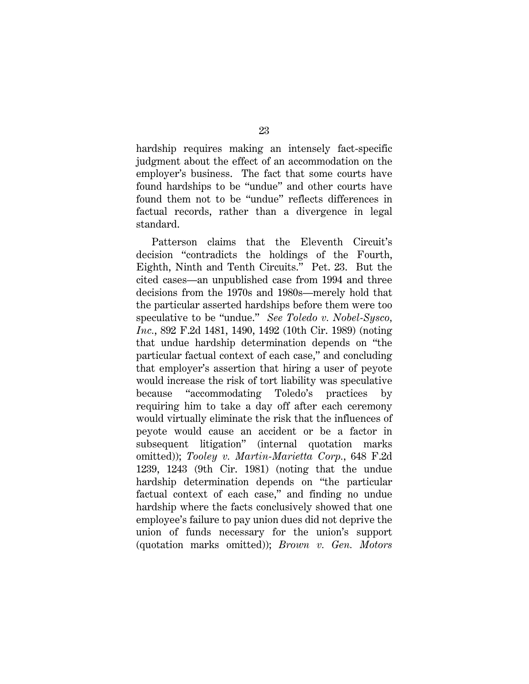hardship requires making an intensely fact-specific judgment about the effect of an accommodation on the employer's business. The fact that some courts have found hardships to be "undue" and other courts have found them not to be "undue" reflects differences in factual records, rather than a divergence in legal standard.

Patterson claims that the Eleventh Circuit's decision "contradicts the holdings of the Fourth, Eighth, Ninth and Tenth Circuits." Pet. 23. But the cited cases—an unpublished case from 1994 and three decisions from the 1970s and 1980s—merely hold that the particular asserted hardships before them were too speculative to be "undue." *See Toledo v. Nobel-Sysco, Inc.*, 892 F.2d 1481, 1490, 1492 (10th Cir. 1989) (noting that undue hardship determination depends on "the particular factual context of each case," and concluding that employer's assertion that hiring a user of peyote would increase the risk of tort liability was speculative because "accommodating Toledo's practices by requiring him to take a day off after each ceremony would virtually eliminate the risk that the influences of peyote would cause an accident or be a factor in subsequent litigation" (internal quotation marks omitted)); *Tooley v. Martin-Marietta Corp.*, 648 F.2d 1239, 1243 (9th Cir. 1981) (noting that the undue hardship determination depends on "the particular factual context of each case," and finding no undue hardship where the facts conclusively showed that one employee's failure to pay union dues did not deprive the union of funds necessary for the union's support (quotation marks omitted)); *Brown v. Gen. Motors*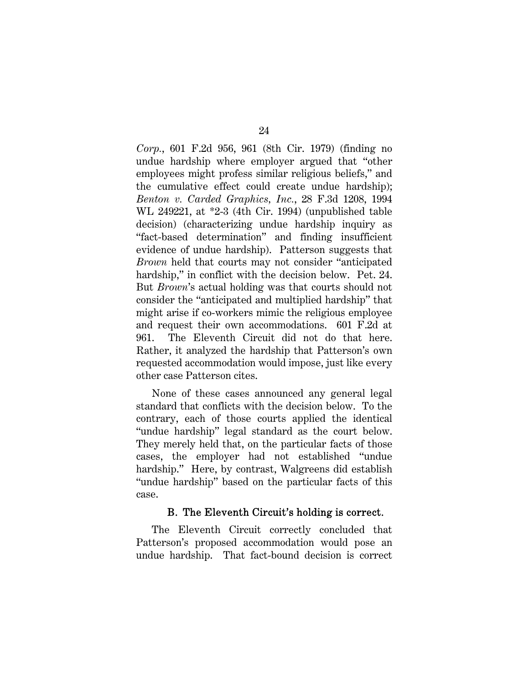*Corp.*, 601 F.2d 956, 961 (8th Cir. 1979) (finding no undue hardship where employer argued that "other employees might profess similar religious beliefs," and the cumulative effect could create undue hardship); *Benton v. Carded Graphics, Inc.*, 28 F.3d 1208, 1994 WL 249221, at \*2-3 (4th Cir. 1994) (unpublished table decision) (characterizing undue hardship inquiry as "fact-based determination" and finding insufficient evidence of undue hardship). Patterson suggests that *Brown* held that courts may not consider "anticipated hardship," in conflict with the decision below. Pet. 24. But *Brown*'s actual holding was that courts should not consider the "anticipated and multiplied hardship" that might arise if co-workers mimic the religious employee and request their own accommodations. 601 F.2d at 961. The Eleventh Circuit did not do that here. Rather, it analyzed the hardship that Patterson's own requested accommodation would impose, just like every other case Patterson cites.

None of these cases announced any general legal standard that conflicts with the decision below. To the contrary, each of those courts applied the identical "undue hardship" legal standard as the court below. They merely held that, on the particular facts of those cases, the employer had not established "undue hardship." Here, by contrast, Walgreens did establish "undue hardship" based on the particular facts of this case.

### B. The Eleventh Circuit's holding is correct.

The Eleventh Circuit correctly concluded that Patterson's proposed accommodation would pose an undue hardship. That fact-bound decision is correct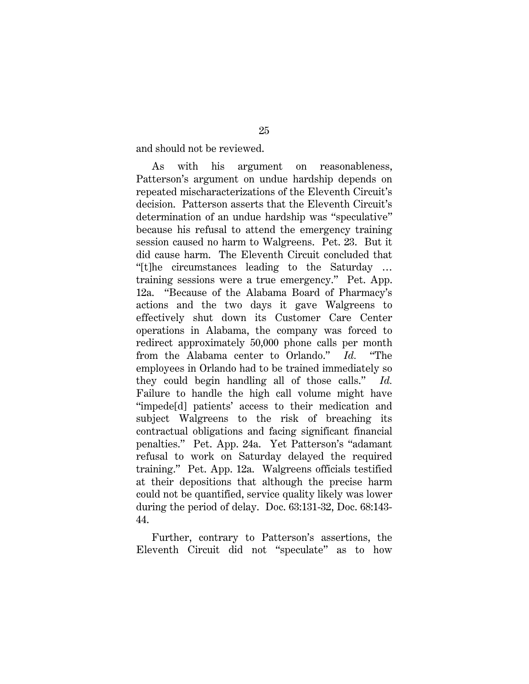and should not be reviewed.

As with his argument on reasonableness, Patterson's argument on undue hardship depends on repeated mischaracterizations of the Eleventh Circuit's decision. Patterson asserts that the Eleventh Circuit's determination of an undue hardship was "speculative" because his refusal to attend the emergency training session caused no harm to Walgreens. Pet. 23. But it did cause harm. The Eleventh Circuit concluded that "[t]he circumstances leading to the Saturday … training sessions were a true emergency." Pet. App. 12a. "Because of the Alabama Board of Pharmacy's actions and the two days it gave Walgreens to effectively shut down its Customer Care Center operations in Alabama, the company was forced to redirect approximately 50,000 phone calls per month from the Alabama center to Orlando." *Id.* "The employees in Orlando had to be trained immediately so they could begin handling all of those calls." *Id.*  Failure to handle the high call volume might have "impede[d] patients' access to their medication and subject Walgreens to the risk of breaching its contractual obligations and facing significant financial penalties." Pet. App. 24a. Yet Patterson's "adamant refusal to work on Saturday delayed the required training." Pet. App. 12a. Walgreens officials testified at their depositions that although the precise harm could not be quantified, service quality likely was lower during the period of delay. Doc. 63:131-32, Doc. 68:143- 44.

Further, contrary to Patterson's assertions, the Eleventh Circuit did not "speculate" as to how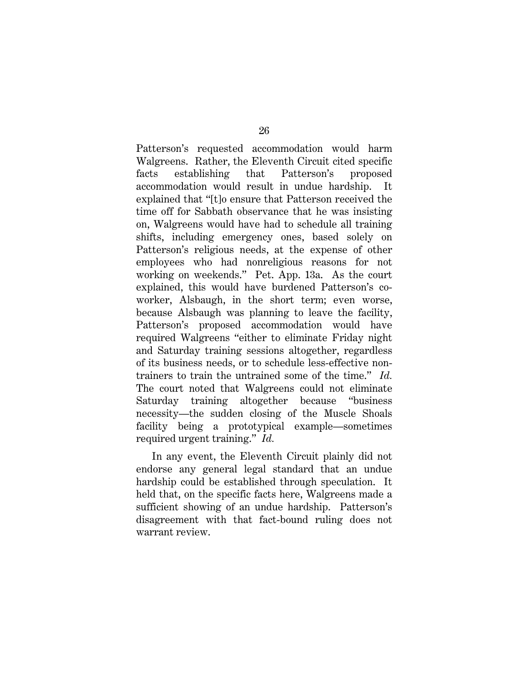Patterson's requested accommodation would harm Walgreens. Rather, the Eleventh Circuit cited specific facts establishing that Patterson's proposed accommodation would result in undue hardship. It explained that "[t]o ensure that Patterson received the time off for Sabbath observance that he was insisting on, Walgreens would have had to schedule all training shifts, including emergency ones, based solely on Patterson's religious needs, at the expense of other employees who had nonreligious reasons for not working on weekends." Pet. App. 13a. As the court explained, this would have burdened Patterson's coworker, Alsbaugh, in the short term; even worse, because Alsbaugh was planning to leave the facility, Patterson's proposed accommodation would have required Walgreens "either to eliminate Friday night and Saturday training sessions altogether, regardless of its business needs, or to schedule less-effective nontrainers to train the untrained some of the time." *Id.* The court noted that Walgreens could not eliminate Saturday training altogether because "business necessity—the sudden closing of the Muscle Shoals facility being a prototypical example—sometimes required urgent training." *Id.*

In any event, the Eleventh Circuit plainly did not endorse any general legal standard that an undue hardship could be established through speculation. It held that, on the specific facts here, Walgreens made a sufficient showing of an undue hardship. Patterson's disagreement with that fact-bound ruling does not warrant review.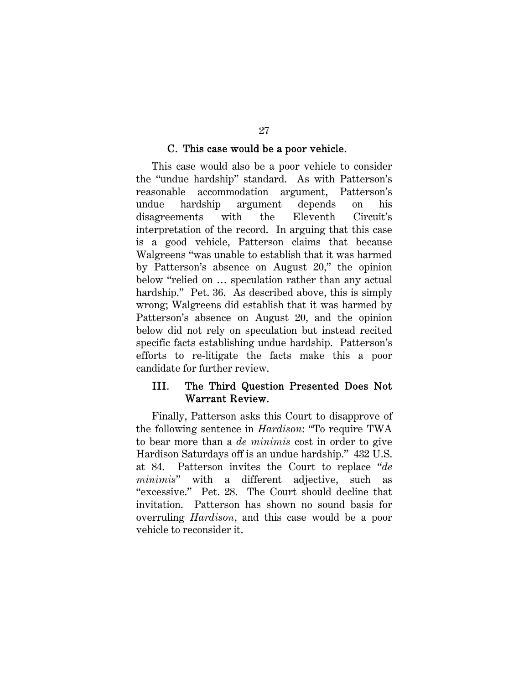### C. This case would be a poor vehicle.

This case would also be a poor vehicle to consider the "undue hardship" standard. As with Patterson's reasonable accommodation argument, Patterson's undue hardship argument depends on his disagreements with the Eleventh Circuit's interpretation of the record. In arguing that this case is a good vehicle, Patterson claims that because Walgreens "was unable to establish that it was harmed by Patterson's absence on August 20," the opinion below "relied on … speculation rather than any actual hardship." Pet. 36. As described above, this is simply wrong; Walgreens did establish that it was harmed by Patterson's absence on August 20, and the opinion below did not rely on speculation but instead recited specific facts establishing undue hardship. Patterson's efforts to re-litigate the facts make this a poor candidate for further review.

### III. The Third Question Presented Does Not Warrant Review.

Finally, Patterson asks this Court to disapprove of the following sentence in *Hardison*: "To require TWA to bear more than a *de minimis* cost in order to give Hardison Saturdays off is an undue hardship." 432 U.S. at 84. Patterson invites the Court to replace "*de minimis*" with a different adjective, such as "excessive." Pet. 28. The Court should decline that invitation. Patterson has shown no sound basis for overruling *Hardison*, and this case would be a poor vehicle to reconsider it.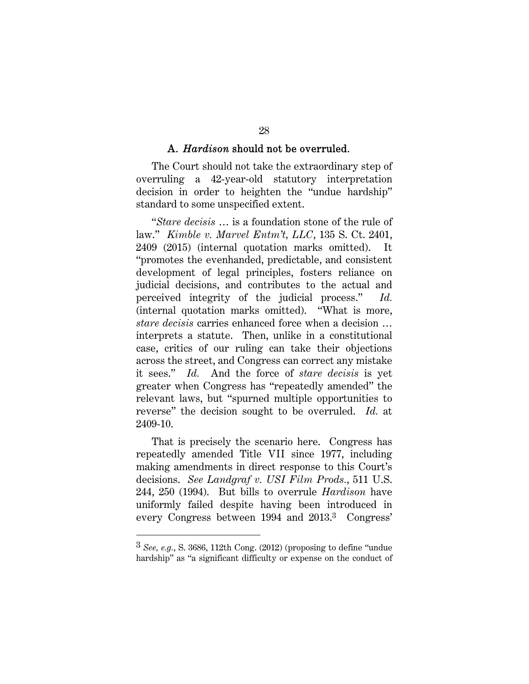#### A. *Hardison* should not be overruled.

The Court should not take the extraordinary step of overruling a 42-year-old statutory interpretation decision in order to heighten the "undue hardship" standard to some unspecified extent.

"*Stare decisis* … is a foundation stone of the rule of law." *Kimble v. Marvel Entm't, LLC*, 135 S. Ct. 2401, 2409 (2015) (internal quotation marks omitted). It "promotes the evenhanded, predictable, and consistent development of legal principles, fosters reliance on judicial decisions, and contributes to the actual and perceived integrity of the judicial process." *Id.* (internal quotation marks omitted). "What is more, *stare decisis* carries enhanced force when a decision … interprets a statute. Then, unlike in a constitutional case, critics of our ruling can take their objections across the street, and Congress can correct any mistake it sees." *Id.* And the force of *stare decisis* is yet greater when Congress has "repeatedly amended" the relevant laws, but "spurned multiple opportunities to reverse" the decision sought to be overruled. *Id.* at 2409-10.

That is precisely the scenario here. Congress has repeatedly amended Title VII since 1977, including making amendments in direct response to this Court's decisions. *See Landgraf v. USI Film Prods.*, 511 U.S. 244, 250 (1994). But bills to overrule *Hardison* have uniformly failed despite having been introduced in every Congress between 1994 and 2013.3 Congress'

 $\overline{a}$ 

<sup>3</sup> *See, e.g.*, S. 3686, 112th Cong. (2012) (proposing to define "undue hardship" as "a significant difficulty or expense on the conduct of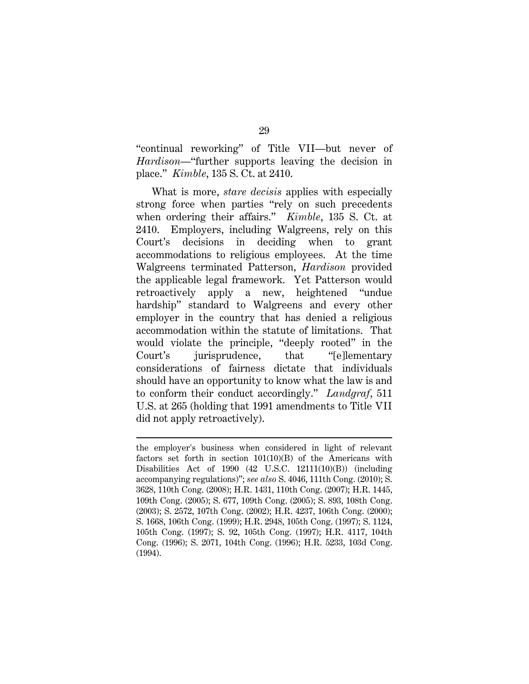"continual reworking" of Title VII—but never of *Hardison*—"further supports leaving the decision in place." *Kimble*, 135 S. Ct. at 2410.

What is more, *stare decisis* applies with especially strong force when parties "rely on such precedents when ordering their affairs." *Kimble*, 135 S. Ct. at 2410. Employers, including Walgreens, rely on this Court's decisions in deciding when to grant accommodations to religious employees. At the time Walgreens terminated Patterson, *Hardison* provided the applicable legal framework. Yet Patterson would retroactively apply a new, heightened "undue hardship" standard to Walgreens and every other employer in the country that has denied a religious accommodation within the statute of limitations. That would violate the principle, "deeply rooted" in the Court's jurisprudence, that "[e]lementary considerations of fairness dictate that individuals should have an opportunity to know what the law is and to conform their conduct accordingly." *Landgraf*, 511 U.S. at 265 (holding that 1991 amendments to Title VII did not apply retroactively).

 $\overline{a}$ 

the employer's business when considered in light of relevant factors set forth in section 101(10)(B) of the Americans with Disabilities Act of 1990 (42 U.S.C. 12111(10)(B)) (including accompanying regulations)"; *see also* S. 4046, 111th Cong. (2010); S. 3628, 110th Cong. (2008); H.R. 1431, 110th Cong. (2007); H.R. 1445, 109th Cong. (2005); S. 677, 109th Cong. (2005); S. 893, 108th Cong. (2003); S. 2572, 107th Cong. (2002); H.R. 4237, 106th Cong. (2000); S. 1668, 106th Cong. (1999); H.R. 2948, 105th Cong. (1997); S. 1124, 105th Cong. (1997); S. 92, 105th Cong. (1997); H.R. 4117, 104th Cong. (1996); S. 2071, 104th Cong. (1996); H.R. 5233, 103d Cong. (1994).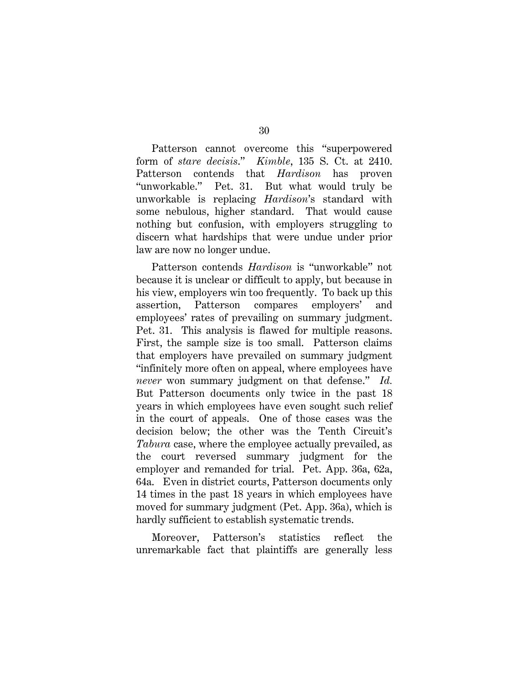Patterson cannot overcome this "superpowered form of *stare decisis*." *Kimble*, 135 S. Ct. at 2410. Patterson contends that *Hardison* has proven "unworkable." Pet. 31. But what would truly be unworkable is replacing *Hardison*'s standard with some nebulous, higher standard. That would cause nothing but confusion, with employers struggling to discern what hardships that were undue under prior law are now no longer undue.

Patterson contends *Hardison* is "unworkable" not because it is unclear or difficult to apply, but because in his view, employers win too frequently. To back up this assertion, Patterson compares employers' and employees' rates of prevailing on summary judgment. Pet. 31. This analysis is flawed for multiple reasons. First, the sample size is too small. Patterson claims that employers have prevailed on summary judgment "infinitely more often on appeal, where employees have *never* won summary judgment on that defense." *Id.* But Patterson documents only twice in the past 18 years in which employees have even sought such relief in the court of appeals. One of those cases was the decision below; the other was the Tenth Circuit's *Tabura* case, where the employee actually prevailed, as the court reversed summary judgment for the employer and remanded for trial. Pet. App. 36a, 62a, 64a. Even in district courts, Patterson documents only 14 times in the past 18 years in which employees have moved for summary judgment (Pet. App. 36a), which is hardly sufficient to establish systematic trends.

Moreover, Patterson's statistics reflect the unremarkable fact that plaintiffs are generally less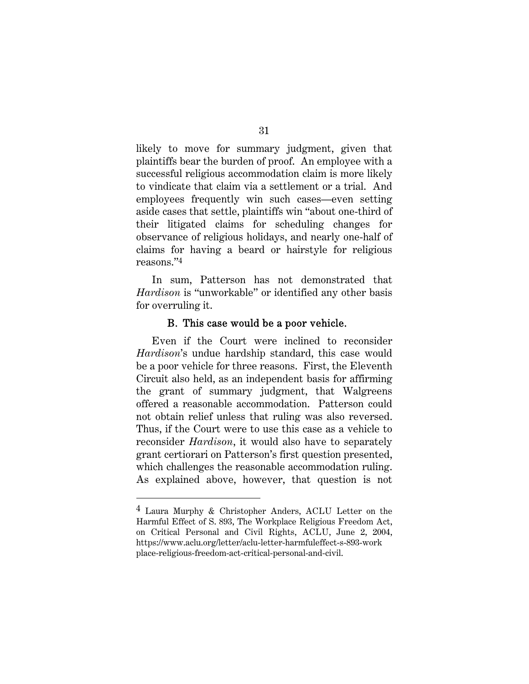likely to move for summary judgment, given that plaintiffs bear the burden of proof. An employee with a successful religious accommodation claim is more likely to vindicate that claim via a settlement or a trial. And employees frequently win such cases—even setting aside cases that settle, plaintiffs win "about one-third of their litigated claims for scheduling changes for observance of religious holidays, and nearly one-half of claims for having a beard or hairstyle for religious reasons."4

In sum, Patterson has not demonstrated that *Hardison* is "unworkable" or identified any other basis for overruling it.

#### B. This case would be a poor vehicle.

Even if the Court were inclined to reconsider *Hardison*'s undue hardship standard, this case would be a poor vehicle for three reasons. First, the Eleventh Circuit also held, as an independent basis for affirming the grant of summary judgment, that Walgreens offered a reasonable accommodation. Patterson could not obtain relief unless that ruling was also reversed. Thus, if the Court were to use this case as a vehicle to reconsider *Hardison*, it would also have to separately grant certiorari on Patterson's first question presented, which challenges the reasonable accommodation ruling. As explained above, however, that question is not

 $\overline{a}$ 

<sup>4</sup> Laura Murphy & Christopher Anders, ACLU Letter on the Harmful Effect of S. 893, The Workplace Religious Freedom Act, on Critical Personal and Civil Rights, ACLU, June 2, 2004, https://www.aclu.org/letter/aclu-letter-harmfuleffect-s-893-work place-religious-freedom-act-critical-personal-and-civil.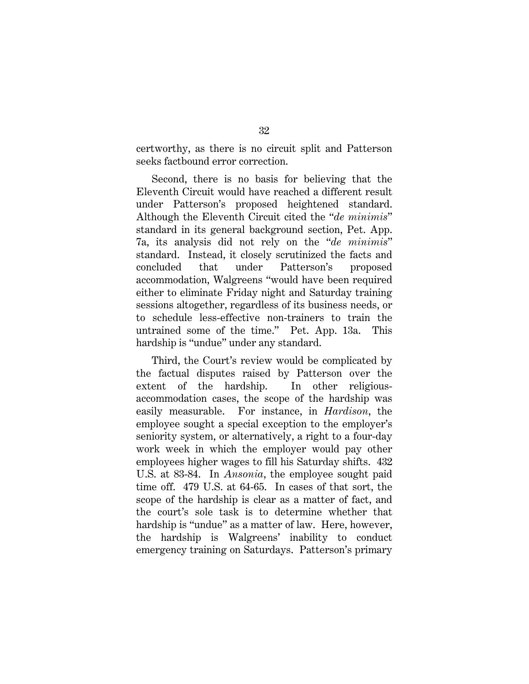certworthy, as there is no circuit split and Patterson seeks factbound error correction.

Second, there is no basis for believing that the Eleventh Circuit would have reached a different result under Patterson's proposed heightened standard. Although the Eleventh Circuit cited the "*de minimis*" standard in its general background section, Pet. App. 7a, its analysis did not rely on the "*de minimis*" standard. Instead, it closely scrutinized the facts and concluded that under Patterson's proposed accommodation, Walgreens "would have been required either to eliminate Friday night and Saturday training sessions altogether, regardless of its business needs, or to schedule less-effective non-trainers to train the untrained some of the time." Pet. App. 13a. This hardship is "undue" under any standard.

Third, the Court's review would be complicated by the factual disputes raised by Patterson over the extent of the hardship. In other religiousaccommodation cases, the scope of the hardship was easily measurable. For instance, in *Hardison*, the employee sought a special exception to the employer's seniority system, or alternatively, a right to a four-day work week in which the employer would pay other employees higher wages to fill his Saturday shifts. 432 U.S. at 83-84. In *Ansonia*, the employee sought paid time off. 479 U.S. at 64-65. In cases of that sort, the scope of the hardship is clear as a matter of fact, and the court's sole task is to determine whether that hardship is "undue" as a matter of law. Here, however, the hardship is Walgreens' inability to conduct emergency training on Saturdays. Patterson's primary